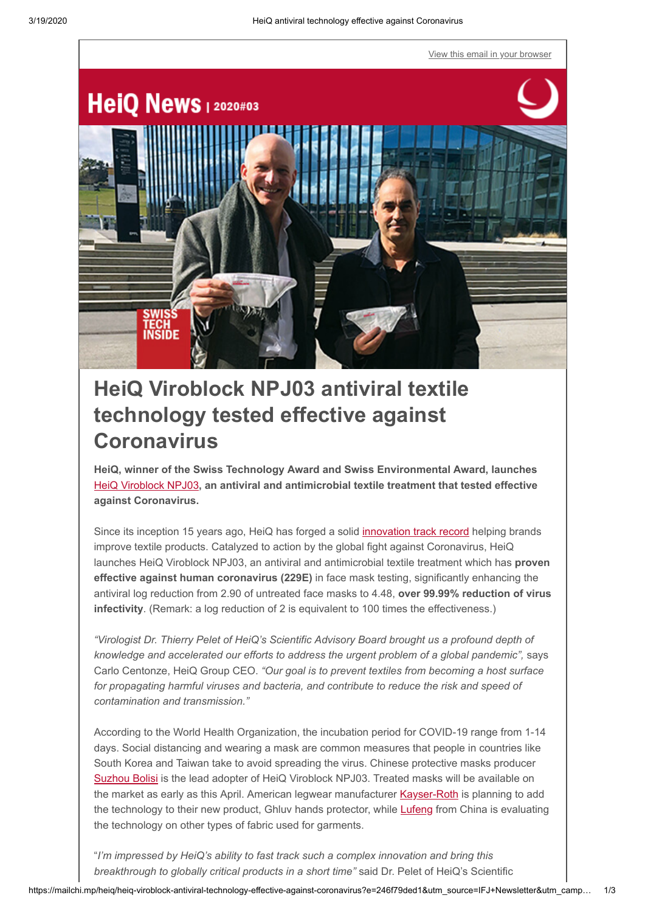[View this email in your browser](https://mailchi.mp/heiq/heiq-viroblock-antiviral-technology-effective-against-coronavirus?e=246f79ded1)



# **HeiQ Viroblock NPJ03 antiviral textile technology tested effective against Coronavirus**

**HeiQ, winner of the Swiss Technology Award and Swiss Environmental Award, launches** [HeiQ Viroblock NPJ03](https://heiq.com/heiq-viroblock-npj03/)**, an antiviral and antimicrobial textile treatment that tested effective against Coronavirus.**

Since its inception 15 years ago, HeiQ has forged a solid [innovation track record](https://heiq.com/2019/12/04/new-technology-in-the-heiq-fresh-range-turns-curtains-into-air-purifiers/) helping brands improve textile products. Catalyzed to action by the global fight against Coronavirus, HeiQ launches HeiQ Viroblock NPJ03, an antiviral and antimicrobial textile treatment which has **proven effective against human coronavirus (229E)** in face mask testing, significantly enhancing the antiviral log reduction from 2.90 of untreated face masks to 4.48, **over 99.99% reduction of virus infectivity**. (Remark: a log reduction of 2 is equivalent to 100 times the effectiveness.)

*"Virologist Dr. Thierry Pelet of HeiQ's Scientific Advisory Board brought us a profound depth of knowledge and accelerated our efforts to address the urgent problem of a global pandemic",* says Carlo Centonze, HeiQ Group CEO. *"Our goal is to prevent textiles from becoming a host surface for propagating harmful viruses and bacteria, and contribute to reduce the risk and speed of contamination and transmission."*

According to the World Health Organization, the incubation period for COVID-19 range from 1-14 days. Social distancing and wearing a mask are common measures that people in countries like South Korea and Taiwan take to avoid spreading the virus. Chinese protective masks producer [Suzhou Bolisi](http://www.szbolisi.com/) is the lead adopter of HeiQ Viroblock NPJ03. Treated masks will be available on the market as early as this April. American legwear manufacturer [Kayser-Roth](https://www.kayser-roth.com/) is planning to add the technology to their new product, Ghluv hands protector, while [Lufeng](http://www.lttc.com.cn/) from China is evaluating the technology on other types of fabric used for garments.

"*I'm impressed by HeiQ's ability to fast track such a complex innovation and bring this breakthrough to globally critical products in a short time"* said Dr. Pelet of HeiQ's Scientific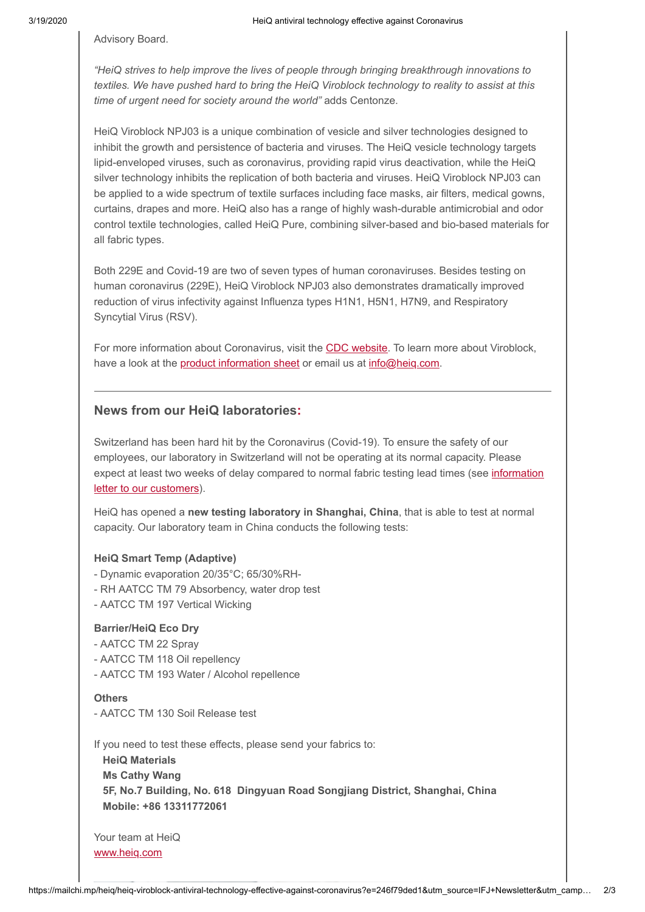Advisory Board.

*"HeiQ strives to help improve the lives of people through bringing breakthrough innovations to textiles. We have pushed hard to bring the HeiQ Viroblock technology to reality to assist at this time of urgent need for society around the world"* adds Centonze.

HeiQ Viroblock NPJ03 is a unique combination of vesicle and silver technologies designed to inhibit the growth and persistence of bacteria and viruses. The HeiQ vesicle technology targets lipid-enveloped viruses, such as coronavirus, providing rapid virus deactivation, while the HeiQ silver technology inhibits the replication of both bacteria and viruses. HeiQ Viroblock NPJ03 can be applied to a wide spectrum of textile surfaces including face masks, air filters, medical gowns, curtains, drapes and more. HeiQ also has a range of highly wash-durable antimicrobial and odor control textile technologies, called HeiQ Pure, combining silver-based and bio-based materials for all fabric types.

Both 229E and Covid-19 are two of seven types of human coronaviruses. Besides testing on human coronavirus (229E), HeiQ Viroblock NPJ03 also demonstrates dramatically improved reduction of virus infectivity against Influenza types H1N1, H5N1, H7N9, and Respiratory Syncytial Virus (RSV).

For more information about Coronavirus, visit the [CDC website.](https://www.cdc.gov/coronavirus/types.html) To learn more about Viroblock, have a look at the [product information sheet](https://heiq.com/heiq-viroblock-npj03/) or email us at [info@heiq.com.](mailto:info@heiq.com)

## **News from our HeiQ laboratories:**

Switzerland has been hard hit by the Coronavirus (Covid-19). To ensure the safety of our employees, our laboratory in Switzerland will not be operating at its normal capacity. Please [expect at least two weeks of delay compared to normal fabric testing lead times \(see information](https://heiq.com/20200316_heiq-customer-letter_coronavirus-impact-on-swiss-testing-lab/) letter to our customers).

HeiQ has opened a **new testing laboratory in Shanghai, China**, that is able to test at normal capacity. Our laboratory team in China conducts the following tests:

### **HeiQ Smart Temp (Adaptive)**

- Dynamic evaporation 20/35°C; 65/30%RH-
- RH AATCC TM 79 Absorbency, water drop test
- AATCC TM 197 Vertical Wicking

### **Barrier/HeiQ Eco Dry**

- AATCC TM 22 Spray
- AATCC TM 118 Oil repellency
- AATCC TM 193 Water / Alcohol repellence

### **Others**

- AATCC TM 130 Soil Release test

If you need to test these effects, please send your fabrics to:

 **HeiQ Materials Ms Cathy Wang 5F, No.7 Building, No. 618 Dingyuan Road Songjiang District, Shanghai, China Mobile: +86 13311772061**

Your team at HeiQ [www.heiq.com](https://heiq.com/)